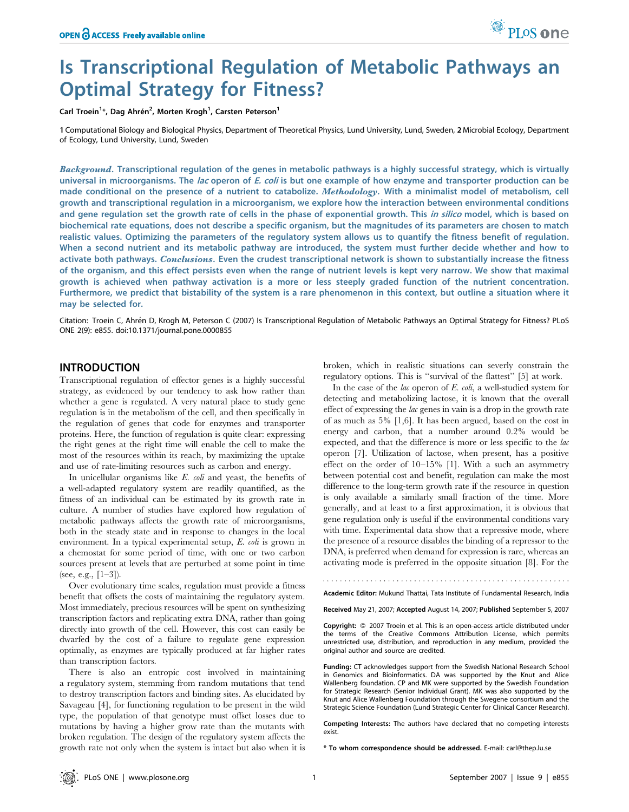# Is Transcriptional Regulation of Metabolic Pathways an Optimal Strategy for Fitness?

## Carl Troein<sup>1</sup>\*, Dag Ahrén<sup>2</sup>, Morten Krogh<sup>1</sup>, Carsten Peterson<sup>1</sup>

1 Computational Biology and Biological Physics, Department of Theoretical Physics, Lund University, Lund, Sweden, 2 Microbial Ecology, Department of Ecology, Lund University, Lund, Sweden

Background. Transcriptional regulation of the genes in metabolic pathways is a highly successful strategy, which is virtually universal in microorganisms. The lac operon of E. coli is but one example of how enzyme and transporter production can be made conditional on the presence of a nutrient to catabolize. *Methodology*. With a minimalist model of metabolism, cell growth and transcriptional regulation in a microorganism, we explore how the interaction between environmental conditions and gene regulation set the growth rate of cells in the phase of exponential growth. This *in silico* model, which is based on biochemical rate equations, does not describe a specific organism, but the magnitudes of its parameters are chosen to match realistic values. Optimizing the parameters of the regulatory system allows us to quantify the fitness benefit of regulation. When a second nutrient and its metabolic pathway are introduced, the system must further decide whether and how to activate both pathways. Conclusions. Even the crudest transcriptional network is shown to substantially increase the fitness of the organism, and this effect persists even when the range of nutrient levels is kept very narrow. We show that maximal growth is achieved when pathway activation is a more or less steeply graded function of the nutrient concentration. Furthermore, we predict that bistability of the system is a rare phenomenon in this context, but outline a situation where it may be selected for.

Citation: Troein C, Ahrén D, Krogh M, Peterson C (2007) Is Transcriptional Regulation of Metabolic Pathways an Optimal Strategy for Fitness? PLoS ONE 2(9): e855. doi:10.1371/journal.pone.0000855

# INTRODUCTION

Transcriptional regulation of effector genes is a highly successful strategy, as evidenced by our tendency to ask how rather than whether a gene is regulated. A very natural place to study gene regulation is in the metabolism of the cell, and then specifically in the regulation of genes that code for enzymes and transporter proteins. Here, the function of regulation is quite clear: expressing the right genes at the right time will enable the cell to make the most of the resources within its reach, by maximizing the uptake and use of rate-limiting resources such as carbon and energy.

In unicellular organisms like E. coli and yeast, the benefits of a well-adapted regulatory system are readily quantified, as the fitness of an individual can be estimated by its growth rate in culture. A number of studies have explored how regulation of metabolic pathways affects the growth rate of microorganisms, both in the steady state and in response to changes in the local environment. In a typical experimental setup, E. coli is grown in a chemostat for some period of time, with one or two carbon sources present at levels that are perturbed at some point in time (see, e.g., [1–3]).

Over evolutionary time scales, regulation must provide a fitness benefit that offsets the costs of maintaining the regulatory system. Most immediately, precious resources will be spent on synthesizing transcription factors and replicating extra DNA, rather than going directly into growth of the cell. However, this cost can easily be dwarfed by the cost of a failure to regulate gene expression optimally, as enzymes are typically produced at far higher rates than transcription factors.

There is also an entropic cost involved in maintaining a regulatory system, stemming from random mutations that tend to destroy transcription factors and binding sites. As elucidated by Savageau [4], for functioning regulation to be present in the wild type, the population of that genotype must offset losses due to mutations by having a higher grow rate than the mutants with broken regulation. The design of the regulatory system affects the growth rate not only when the system is intact but also when it is broken, which in realistic situations can severly constrain the regulatory options. This is ''survival of the flattest'' [5] at work.

PLoS one

In the case of the *lac* operon of  $E$ . *coli*, a well-studied system for detecting and metabolizing lactose, it is known that the overall effect of expressing the lac genes in vain is a drop in the growth rate of as much as 5% [1,6]. It has been argued, based on the cost in energy and carbon, that a number around 0.2% would be expected, and that the difference is more or less specific to the lac operon [7]. Utilization of lactose, when present, has a positive effect on the order of 10–15% [1]. With a such an asymmetry between potential cost and benefit, regulation can make the most difference to the long-term growth rate if the resource in question is only available a similarly small fraction of the time. More generally, and at least to a first approximation, it is obvious that gene regulation only is useful if the environmental conditions vary with time. Experimental data show that a repressive mode, where the presence of a resource disables the binding of a repressor to the DNA, is preferred when demand for expression is rare, whereas an activating mode is preferred in the opposite situation [8]. For the

Academic Editor: Mukund Thattai, Tata Institute of Fundamental Research, India

Received May 21, 2007; Accepted August 14, 2007; Published September 5, 2007

Copyright:  $© 2007$  Troein et al. This is an open-access article distributed under the terms of the Creative Commons Attribution License, which permits unrestricted use, distribution, and reproduction in any medium, provided the original author and source are credited.

Funding: CT acknowledges support from the Swedish National Research School in Genomics and Bioinformatics. DA was supported by the Knut and Alice Wallenberg foundation. CP and MK were supported by the Swedish Foundation for Strategic Research (Senior Individual Grant). MK was also supported by the Knut and Alice Wallenberg Foundation through the Swegene consortium and the Strategic Science Foundation (Lund Strategic Center for Clinical Cancer Research).

Competing Interests: The authors have declared that no competing interests exist.

\* To whom correspondence should be addressed. E-mail: carl@thep.lu.se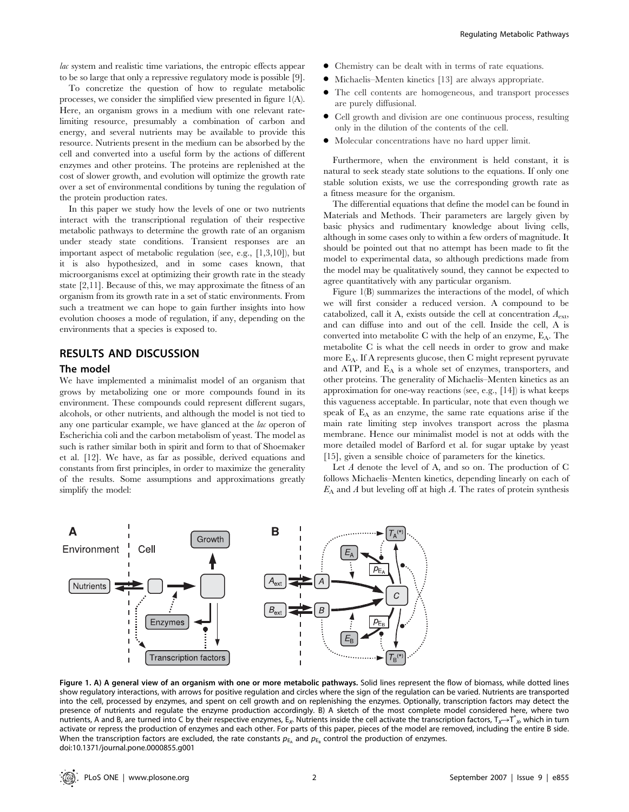lac system and realistic time variations, the entropic effects appear to be so large that only a repressive regulatory mode is possible [9].

To concretize the question of how to regulate metabolic processes, we consider the simplified view presented in figure 1(A). Here, an organism grows in a medium with one relevant ratelimiting resource, presumably a combination of carbon and energy, and several nutrients may be available to provide this resource. Nutrients present in the medium can be absorbed by the cell and converted into a useful form by the actions of different enzymes and other proteins. The proteins are replenished at the cost of slower growth, and evolution will optimize the growth rate over a set of environmental conditions by tuning the regulation of the protein production rates.

In this paper we study how the levels of one or two nutrients interact with the transcriptional regulation of their respective metabolic pathways to determine the growth rate of an organism under steady state conditions. Transient responses are an important aspect of metabolic regulation (see, e.g., [1,3,10]), but it is also hypothesized, and in some cases known, that microorganisms excel at optimizing their growth rate in the steady state [2,11]. Because of this, we may approximate the fitness of an organism from its growth rate in a set of static environments. From such a treatment we can hope to gain further insights into how evolution chooses a mode of regulation, if any, depending on the environments that a species is exposed to.

# RESULTS AND DISCUSSION

## The model

We have implemented a minimalist model of an organism that grows by metabolizing one or more compounds found in its environment. These compounds could represent different sugars, alcohols, or other nutrients, and although the model is not tied to any one particular example, we have glanced at the lac operon of Escherichia coli and the carbon metabolism of yeast. The model as such is rather similar both in spirit and form to that of Shoemaker et al. [12]. We have, as far as possible, derived equations and constants from first principles, in order to maximize the generality of the results. Some assumptions and approximations greatly simplify the model:

- N Chemistry can be dealt with in terms of rate equations.
- Michaelis–Menten kinetics [13] are always appropriate.
- The cell contents are homogeneous, and transport processes are purely diffusional.
- Cell growth and division are one continuous process, resulting only in the dilution of the contents of the cell.
- Molecular concentrations have no hard upper limit.

Furthermore, when the environment is held constant, it is natural to seek steady state solutions to the equations. If only one stable solution exists, we use the corresponding growth rate as a fitness measure for the organism.

The differential equations that define the model can be found in Materials and Methods. Their parameters are largely given by basic physics and rudimentary knowledge about living cells, although in some cases only to within a few orders of magnitude. It should be pointed out that no attempt has been made to fit the model to experimental data, so although predictions made from the model may be qualitatively sound, they cannot be expected to agree quantitatively with any particular organism.

Figure 1(B) summarizes the interactions of the model, of which we will first consider a reduced version. A compound to be catabolized, call it A, exists outside the cell at concentration  $A_{\text{ext}}$ , and can diffuse into and out of the cell. Inside the cell, A is converted into metabolite C with the help of an enzyme,  $E_A$ . The metabolite C is what the cell needs in order to grow and make more EA. If A represents glucose, then C might represent pyruvate and ATP, and EA is a whole set of enzymes, transporters, and other proteins. The generality of Michaelis–Menten kinetics as an approximation for one-way reactions (see, e.g., [14]) is what keeps this vagueness acceptable. In particular, note that even though we speak of  $E_A$  as an enzyme, the same rate equations arise if the main rate limiting step involves transport across the plasma membrane. Hence our minimalist model is not at odds with the more detailed model of Barford et al. for sugar uptake by yeast [15], given a sensible choice of parameters for the kinetics.

Let A denote the level of A, and so on. The production of C follows Michaelis–Menten kinetics, depending linearly on each of  $E_A$  and A but leveling off at high A. The rates of protein synthesis



Figure 1. A) A general view of an organism with one or more metabolic pathways. Solid lines represent the flow of biomass, while dotted lines show regulatory interactions, with arrows for positive regulation and circles where the sign of the regulation can be varied. Nutrients are transported into the cell, processed by enzymes, and spent on cell growth and on replenishing the enzymes. Optionally, transcription factors may detect the presence of nutrients and regulate the enzyme production accordingly. B) A sketch of the most complete model considered here, where two nutrients, A and B, are turned into C by their respective enzymes, E<sub>x</sub>. Nutrients inside the cell activate the transcription factors, T<sub>X</sub>→T<sup>\*</sup><sub>X</sub>, which in turn activate or repress the production of enzymes and each other. For parts of this paper, pieces of the model are removed, including the entire B side. When the transcription factors are excluded, the rate constants  $p_{E_A}$  and  $p_{E_B}$  control the production of enzymes. doi:10.1371/journal.pone.0000855.g001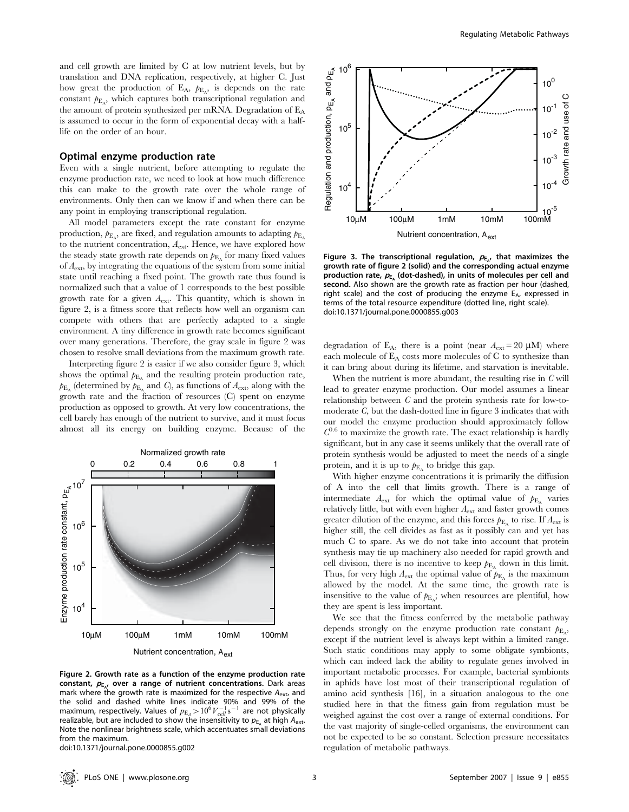and cell growth are limited by C at low nutrient levels, but by translation and DNA replication, respectively, at higher C. Just how great the production of  $E_A$ ,  $p_{E_A}$ , is depends on the rate constant  $p_{\text{E}_\text{A}}$ , which captures both transcriptional regulation and the amount of protein synthesized per mRNA. Degradation of EA is assumed to occur in the form of exponential decay with a halflife on the order of an hour.

## Optimal enzyme production rate

Even with a single nutrient, before attempting to regulate the enzyme production rate, we need to look at how much difference this can make to the growth rate over the whole range of environments. Only then can we know if and when there can be any point in employing transcriptional regulation.

All model parameters except the rate constant for enzyme production,  $\emph{p}_{\mathrm{E_A}}$ , are fixed, and regulation amounts to adapting  $\emph{p}_{\mathrm{E_A}}$ to the nutrient concentration,  $A_{\text{ext}}$ . Hence, we have explored how the steady state growth rate depends on  $p_{\text{E}_{A}}$  for many fixed values of  $A<sub>ext</sub>$ , by integrating the equations of the system from some initial state until reaching a fixed point. The growth rate thus found is normalized such that a value of 1 corresponds to the best possible growth rate for a given  $A_{\text{ext}}$ . This quantity, which is shown in figure 2, is a fitness score that reflects how well an organism can compete with others that are perfectly adapted to a single environment. A tiny difference in growth rate becomes significant over many generations. Therefore, the gray scale in figure 2 was chosen to resolve small deviations from the maximum growth rate.

Interpreting figure 2 is easier if we also consider figure 3, which shows the optimal  $p_{\text{E}_{\text{A}}}$  and the resulting protein production rate,  $p_{\text{E}_{\text{A}}}$  (determined by  $p_{\text{E}_{\text{A}}}$  and C), as functions of  $A_{\text{ext}}$ , along with the growth rate and the fraction of resources (C) spent on enzyme production as opposed to growth. At very low concentrations, the cell barely has enough of the nutrient to survive, and it must focus almost all its energy on building enzyme. Because of the



Figure 2. Growth rate as a function of the enzyme production rate constant,  $p_{E_{A'}}$  over a range of nutrient concentrations. Dark areas mark where the growth rate is maximized for the respective  $A_{\text{ext}}$ , and the solid and dashed white lines indicate 90% and 99% of the maximum, respectively. Values of  $p_{\rm E_A} > 10^6 V_{cell}^{-1} {\rm s}^{-1}$  are not physically realizable, but are included to show the insensitivity to  $p_{E_A}$  at high  $A_{ext}$ . Note the nonlinear brightness scale, which accentuates small deviations from the maximum.

doi:10.1371/journal.pone.0000855.g002



Figure 3. The transcriptional regulation,  $p_{E_A}$ , that maximizes the growth rate of figure 2 (solid) and the corresponding actual enzyme production rate,  $p_{E_A}$  (dot-dashed), in units of molecules per cell and second. Also shown are the growth rate as fraction per hour (dashed, right scale) and the cost of producing the enzyme  $E_{A}$ , expressed in terms of the total resource expenditure (dotted line, right scale). doi:10.1371/journal.pone.0000855.g003

degradation of  $E_A$ , there is a point (near  $A_{ext} = 20 \mu M$ ) where each molecule of  $E_A$  costs more molecules of C to synthesize than it can bring about during its lifetime, and starvation is inevitable.

When the nutrient is more abundant, the resulting rise in  $C$  will lead to greater enzyme production. Our model assumes a linear relationship between C and the protein synthesis rate for low-tomoderate C, but the dash-dotted line in figure 3 indicates that with our model the enzyme production should approximately follow  $C^{0.6}$  to maximize the growth rate. The exact relationship is hardly significant, but in any case it seems unlikely that the overall rate of protein synthesis would be adjusted to meet the needs of a single protein, and it is up to  $p_{\text{E}_{A}}$  to bridge this gap.

With higher enzyme concentrations it is primarily the diffusion of A into the cell that limits growth. There is a range of intermediate  $A_{\text{ext}}$  for which the optimal value of  $p_{\text{E}_{A}}$  varies relatively little, but with even higher  $A_{\mathrm{ext}}$  and faster growth comes greater dilution of the enzyme, and this forces  $p_{\text{E}_A}$  to rise. If  $A_{\text{ext}}$  is higher still, the cell divides as fast as it possibly can and yet has much C to spare. As we do not take into account that protein synthesis may tie up machinery also needed for rapid growth and cell division, there is no incentive to keep  $p_{\text{E}_{\text{A}}}$  down in this limit. Thus, for very high  $A_{\text{ext}}$  the optimal value of  $p_{\text{E}_{A}}$  is the maximum allowed by the model. At the same time, the growth rate is insensitive to the value of  $p_{\text{E}_{\text{A}}}$ ; when resources are plentiful, how they are spent is less important.

We see that the fitness conferred by the metabolic pathway depends strongly on the enzyme production rate constant  $p_{\text{E}_A}$ , except if the nutrient level is always kept within a limited range. Such static conditions may apply to some obligate symbionts, which can indeed lack the ability to regulate genes involved in important metabolic processes. For example, bacterial symbionts in aphids have lost most of their transcriptional regulation of amino acid synthesis [16], in a situation analogous to the one studied here in that the fitness gain from regulation must be weighed against the cost over a range of external conditions. For the vast majority of single-celled organisms, the environment can not be expected to be so constant. Selection pressure necessitates regulation of metabolic pathways.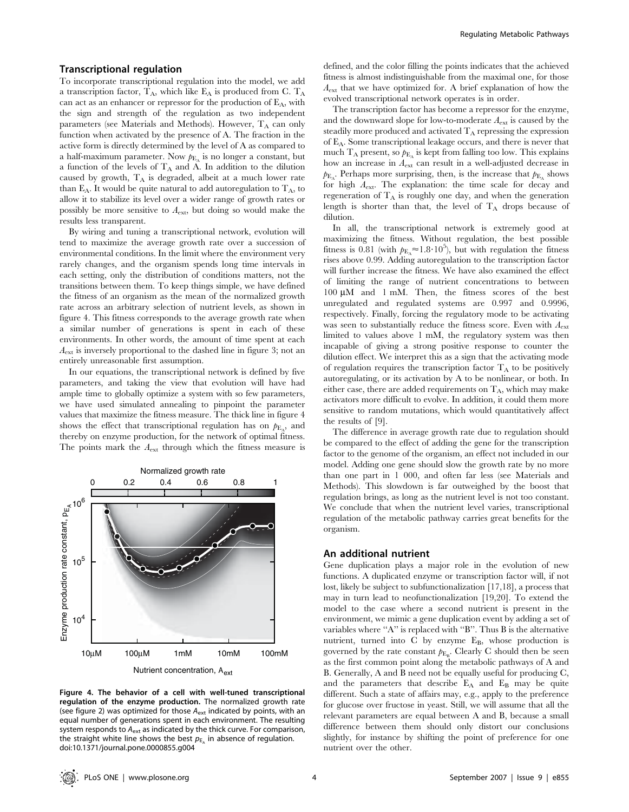## Transcriptional regulation

To incorporate transcriptional regulation into the model, we add a transcription factor,  $T_A$ , which like  $E_A$  is produced from C.  $T_A$ can act as an enhancer or repressor for the production of  $E_A$ , with the sign and strength of the regulation as two independent parameters (see Materials and Methods). However,  $T_A$  can only function when activated by the presence of A. The fraction in the active form is directly determined by the level of A as compared to a half-maximum parameter. Now  $p_{\text{E}_{\text{A}}}$  is no longer a constant, but a function of the levels of  $T_A$  and A. In addition to the dilution caused by growth,  $T_A$  is degraded, albeit at a much lower rate than  $E_A$ . It would be quite natural to add autoregulation to  $T_A$ , to allow it to stabilize its level over a wider range of growth rates or possibly be more sensitive to  $A_{\text{ext}}$ , but doing so would make the results less transparent.

By wiring and tuning a transcriptional network, evolution will tend to maximize the average growth rate over a succession of environmental conditions. In the limit where the environment very rarely changes, and the organism spends long time intervals in each setting, only the distribution of conditions matters, not the transitions between them. To keep things simple, we have defined the fitness of an organism as the mean of the normalized growth rate across an arbitrary selection of nutrient levels, as shown in figure 4. This fitness corresponds to the average growth rate when a similar number of generations is spent in each of these environments. In other words, the amount of time spent at each  $A<sub>ext</sub>$  is inversely proportional to the dashed line in figure 3; not an entirely unreasonable first assumption.

In our equations, the transcriptional network is defined by five parameters, and taking the view that evolution will have had ample time to globally optimize a system with so few parameters, we have used simulated annealing to pinpoint the parameter values that maximize the fitness measure. The thick line in figure 4 shows the effect that transcriptional regulation has on  $p_{\text{E}_A}$ , and thereby on enzyme production, for the network of optimal fitness. The points mark the  $A_{\text{ext}}$  through which the fitness measure is



Figure 4. The behavior of a cell with well-tuned transcriptional regulation of the enzyme production. The normalized growth rate (see figure 2) was optimized for those  $A_{ext}$  indicated by points, with an equal number of generations spent in each environment. The resulting system responds to  $A_{\text{ext}}$  as indicated by the thick curve. For comparison, the straight white line shows the best  $p_{E_A}$  in absence of regulation. doi:10.1371/journal.pone.0000855.g004

defined, and the color filling the points indicates that the achieved fitness is almost indistinguishable from the maximal one, for those  $A_{\text{ext}}$  that we have optimized for. A brief explanation of how the evolved transcriptional network operates is in order.

The transcription factor has become a repressor for the enzyme, and the downward slope for low-to-moderate  $A_{\text{ext}}$  is caused by the steadily more produced and activated  $T_A$  repressing the expression of EA. Some transcriptional leakage occurs, and there is never that much  $T_A$  present, so  $p_{\text{E}_A}$  is kept from falling too low. This explains how an increase in  $A_{\text{ext}}$  can result in a well-adjusted decrease in  $p_{\text{E}_{\text{A}}}$ . Perhaps more surprising, then, is the increase that  $p_{\text{E}_{\text{A}}}$  shows for high Aext. The explanation: the time scale for decay and regeneration of  $T_A$  is roughly one day, and when the generation length is shorter than that, the level of  $T_A$  drops because of dilution.

In all, the transcriptional network is extremely good at maximizing the fitness. Without regulation, the best possible fitness is 0.81 (with  $p_{\text{E}_A} \approx 1.8 \cdot 10^5$ ), but with regulation the fitness rises above 0.99. Adding autoregulation to the transcription factor will further increase the fitness. We have also examined the effect of limiting the range of nutrient concentrations to between  $100 \mu M$  and  $1 \mu M$ . Then, the fitness scores of the best unregulated and regulated systems are 0.997 and 0.9996, respectively. Finally, forcing the regulatory mode to be activating was seen to substantially reduce the fitness score. Even with  $A_{\text{ext}}$ limited to values above 1 mM, the regulatory system was then incapable of giving a strong positive response to counter the dilution effect. We interpret this as a sign that the activating mode of regulation requires the transcription factor  $T_A$  to be positively autoregulating, or its activation by A to be nonlinear, or both. In either case, there are added requirements on  $T_A$ , which may make activators more difficult to evolve. In addition, it could them more sensitive to random mutations, which would quantitatively affect the results of [9].

The difference in average growth rate due to regulation should be compared to the effect of adding the gene for the transcription factor to the genome of the organism, an effect not included in our model. Adding one gene should slow the growth rate by no more than one part in 1 000, and often far less (see Materials and Methods). This slowdown is far outweighed by the boost that regulation brings, as long as the nutrient level is not too constant. We conclude that when the nutrient level varies, transcriptional regulation of the metabolic pathway carries great benefits for the organism.

## An additional nutrient

Gene duplication plays a major role in the evolution of new functions. A duplicated enzyme or transcription factor will, if not lost, likely be subject to subfunctionalization [17,18], a process that may in turn lead to neofunctionalization [19,20]. To extend the model to the case where a second nutrient is present in the environment, we mimic a gene duplication event by adding a set of variables where ''A'' is replaced with ''B''. Thus B is the alternative nutrient, turned into  $C$  by enzyme  $E_B$ , whose production is governed by the rate constant  $p_{E_B}$ . Clearly C should then be seen as the first common point along the metabolic pathways of A and B. Generally, A and B need not be equally useful for producing C, and the parameters that describe  $E_A$  and  $E_B$  may be quite different. Such a state of affairs may, e.g., apply to the preference for glucose over fructose in yeast. Still, we will assume that all the relevant parameters are equal between A and B, because a small difference between them should only distort our conclusions slightly, for instance by shifting the point of preference for one nutrient over the other.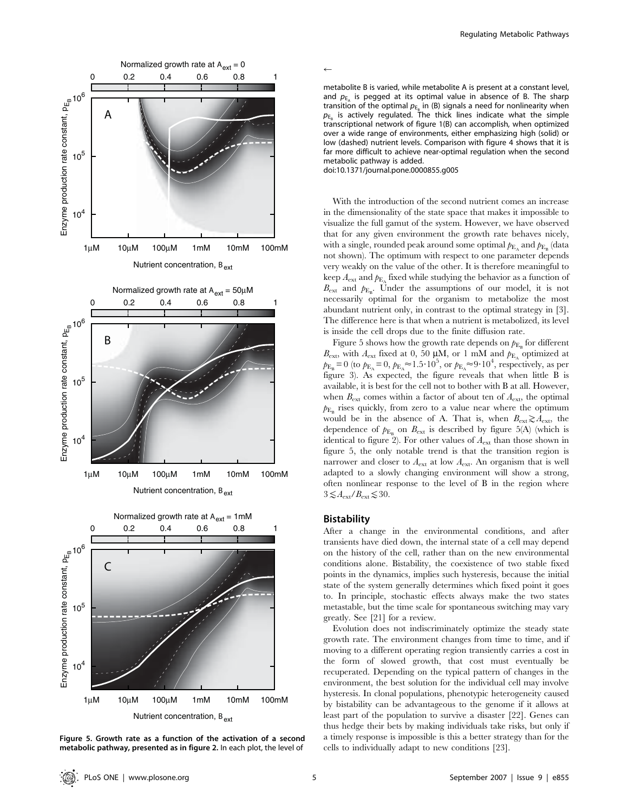

Regulating Metabolic Pathways



 $\leftarrow$ 

metabolite B is varied, while metabolite A is present at a constant level, and  $p_{\text{E}}$  is pegged at its optimal value in absence of B. The sharp transition of the optimal  $p_{E_B}$  in (B) signals a need for nonlinearity when  $p_{\text{E}_p}$  is actively regulated. The thick lines indicate what the simple transcriptional network of figure 1(B) can accomplish, when optimized over a wide range of environments, either emphasizing high (solid) or low (dashed) nutrient levels. Comparison with figure 4 shows that it is far more difficult to achieve near-optimal regulation when the second metabolic pathway is added.

doi:10.1371/journal.pone.0000855.g005

With the introduction of the second nutrient comes an increase in the dimensionality of the state space that makes it impossible to visualize the full gamut of the system. However, we have observed that for any given environment the growth rate behaves nicely, with a single, rounded peak around some optimal  $p_{\text{E}_{\text{A}}}$  and  $p_{\text{E}_{\text{B}}}$  (data not shown). The optimum with respect to one parameter depends very weakly on the value of the other. It is therefore meaningful to keep  $A_{\text{ext}}$  and  $p_{\text{E}_{A}}$  fixed while studying the behavior as a function of  $B_{\text{ext}}$  and  $p_{\text{E}_{\text{B}}}$ . Under the assumptions of our model, it is not necessarily optimal for the organism to metabolize the most abundant nutrient only, in contrast to the optimal strategy in [3]. The difference here is that when a nutrient is metabolized, its level is inside the cell drops due to the finite diffusion rate.

Figure 5 shows how the growth rate depends on  $p_{\text{E}_p}$  for different  $B_{\text{ext}}$ , with  $A_{\text{ext}}$  fixed at 0, 50 µM, or 1 mM and  $p_{\text{E}}$  optimized at  $p_{\text{E}_{\text{B}}} = 0$  (to  $p_{\text{E}_{\text{A}}} = 0$ ,  $p_{\text{E}_{\text{A}}} \approx 1.5 \cdot 10^5$ , or  $p_{\text{E}_{\text{A}}} \approx 9 \cdot 10^4$ , respectively, as per figure 3). As expected, the figure reveals that when little B is available, it is best for the cell not to bother with B at all. However, when  $B_{\text{ext}}$  comes within a factor of about ten of  $A_{\text{ext}}$ , the optimal  $p_{\text{E}_{\text{B}}}$  rises quickly, from zero to a value near where the optimum would be in the absence of A. That is, when  $B_{\text{ext}} \gtrsim A_{\text{ext}}$ , the dependence of  $p_{E_B}$  on  $B_{ext}$  is described by figure 5(A) (which is identical to figure 2). For other values of  $A_{\text{ext}}$  than those shown in figure 5, the only notable trend is that the transition region is narrower and closer to  $A_{\text{ext}}$  at low  $A_{\text{ext}}$ . An organism that is well adapted to a slowly changing environment will show a strong, often nonlinear response to the level of B in the region where  $3 \lesssim A_{\rm ext}/B_{\rm ext} \lesssim 30.$ 

# **Bistability**

After a change in the environmental conditions, and after transients have died down, the internal state of a cell may depend on the history of the cell, rather than on the new environmental conditions alone. Bistability, the coexistence of two stable fixed points in the dynamics, implies such hysteresis, because the initial state of the system generally determines which fixed point it goes to. In principle, stochastic effects always make the two states metastable, but the time scale for spontaneous switching may vary greatly. See [21] for a review.

Evolution does not indiscriminately optimize the steady state growth rate. The environment changes from time to time, and if moving to a different operating region transiently carries a cost in the form of slowed growth, that cost must eventually be recuperated. Depending on the typical pattern of changes in the environment, the best solution for the individual cell may involve hysteresis. In clonal populations, phenotypic heterogeneity caused by bistability can be advantageous to the genome if it allows at least part of the population to survive a disaster [22]. Genes can thus hedge their bets by making individuals take risks, but only if a timely response is impossible is this a better strategy than for the cells to individually adapt to new conditions [23].

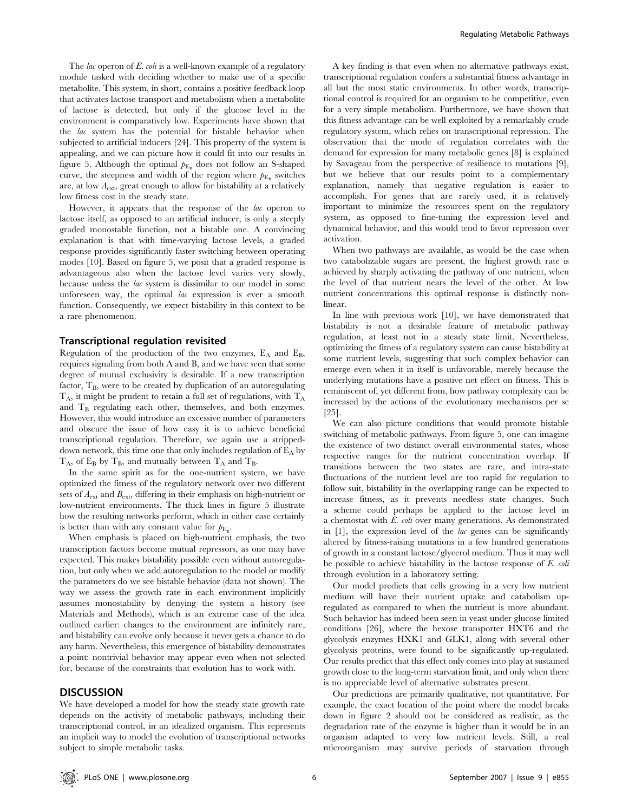The *lac* operon of *E. coli* is a well-known example of a regulatory module tasked with deciding whether to make use of a specific metabolite. This system, in short, contains a positive feedback loop that activates lactose transport and metabolism when a metabolite of lactose is detected, but only if the glucose level in the environment is comparatively low. Experiments have shown that the lac system has the potential for bistable behavior when subjected to artificial inducers [24]. This property of the system is appealing, and we can picture how it could fit into our results in figure 5. Although the optimal  $p_{E_n}$  does not follow an S-shaped curve, the steepness and width of the region where  $p_{\text{E}_{n}}$  switches are, at low  $A_{\text{ext}}$ , great enough to allow for bistability at a relatively low fitness cost in the steady state.

However, it appears that the response of the lac operon to lactose itself, as opposed to an artificial inducer, is only a steeply graded monostable function, not a bistable one. A convincing explanation is that with time-varying lactose levels, a graded response provides significantly faster switching between operating modes [10]. Based on figure 5, we posit that a graded response is advantageous also when the lactose level varies very slowly, because unless the lac system is dissimilar to our model in some unforeseen way, the optimal lac expression is ever a smooth function. Consequently, we expect bistability in this context to be a rare phenomenon.

#### Transcriptional regulation revisited

Regulation of the production of the two enzymes,  $E_A$  and  $E_B$ , requires signaling from both A and B, and we have seen that some degree of mutual exclusivity is desirable. If a new transcription factor,  $T_B$ , were to be created by duplication of an autoregulating  $T_A$ , it might be prudent to retain a full set of regulations, with  $T_A$ and  $T_B$  regulating each other, themselves, and both enzymes. However, this would introduce an excessive number of parameters and obscure the issue of how easy it is to achieve beneficial transcriptional regulation. Therefore, we again use a strippeddown network, this time one that only includes regulation of  $E_A$  by  $T_A$ , of  $E_B$  by  $T_B$ , and mutually between  $T_A$  and  $T_B$ .

In the same spirit as for the one-nutrient system, we have optimized the fitness of the regulatory network over two different sets of  $A_{\text{ext}}$  and  $B_{\text{ext}}$ , differing in their emphasis on high-nutrient or low-nutrient environments. The thick lines in figure 5 illustrate how the resulting networks perform, which in either case certainly is better than with any constant value for  $p_{E_B}$ .

When emphasis is placed on high-nutrient emphasis, the two transcription factors become mutual repressors, as one may have expected. This makes bistability possible even without autoregulation, but only when we add autoregulation to the model or modify the parameters do we see bistable behavior (data not shown). The way we assess the growth rate in each environment implicitly assumes monostability by denying the system a history (see Materials and Methods), which is an extreme case of the idea outlined earlier: changes to the environment are infinitely rare, and bistability can evolve only because it never gets a chance to do any harm. Nevertheless, this emergence of bistability demonstrates a point: nontrivial behavior may appear even when not selected for, because of the constraints that evolution has to work with.

## **DISCUSSION**

We have developed a model for how the steady state growth rate depends on the activity of metabolic pathways, including their transcriptional control, in an idealized organism. This represents an implicit way to model the evolution of transcriptional networks subject to simple metabolic tasks.

A key finding is that even when no alternative pathways exist, transcriptional regulation confers a substantial fitness advantage in all but the most static environments. In other words, transcriptional control is required for an organism to be competitive, even for a very simple metabolism. Furthermore, we have shown that this fitness advantage can be well exploited by a remarkably crude regulatory system, which relies on transcriptional repression. The observation that the mode of regulation correlates with the demand for expression for many metabolic genes [8] is explained by Savageau from the perspective of resilience to mutations [9], but we believe that our results point to a complementary explanation, namely that negative regulation is easier to accomplish. For genes that are rarely used, it is relatively important to minimize the resources spent on the regulatory system, as opposed to fine-tuning the expression level and dynamical behavior, and this would tend to favor repression over activation.

When two pathways are available, as would be the case when two catabolizable sugars are present, the highest growth rate is achieved by sharply activating the pathway of one nutrient, when the level of that nutrient nears the level of the other. At low nutrient concentrations this optimal response is distinctly nonlinear.

In line with previous work [10], we have demonstrated that bistability is not a desirable feature of metabolic pathway regulation, at least not in a steady state limit. Nevertheless, optimizing the fitness of a regulatory system can cause bistability at some nutrient levels, suggesting that such complex behavior can emerge even when it in itself is unfavorable, merely because the underlying mutations have a positive net effect on fitness. This is reminiscent of, yet different from, how pathway complexity can be increased by the actions of the evolutionary mechanisms per se [25].

We can also picture conditions that would promote bistable switching of metabolic pathways. From figure 5, one can imagine the existence of two distinct overall environmental states, whose respective ranges for the nutrient concentration overlap. If transitions between the two states are rare, and intra-state fluctuations of the nutrient level are too rapid for regulation to follow suit, bistability in the overlapping range can be expected to increase fitness, as it prevents needless state changes. Such a scheme could perhaps be applied to the lactose level in a chemostat with E. coli over many generations. As demonstrated in [1], the expression level of the lac genes can be significantly altered by fitness-raising mutations in a few hundred generations of growth in a constant lactose/glycerol medium. Thus it may well be possible to achieve bistability in the lactose response of E. coli through evolution in a laboratory setting.

Our model predicts that cells growing in a very low nutrient medium will have their nutrient uptake and catabolism upregulated as compared to when the nutrient is more abundant. Such behavior has indeed been seen in yeast under glucose limited conditions [26], where the hexose transporter HXT6 and the glycolysis enzymes HXK1 and GLK1, along with several other glycolysis proteins, were found to be significantly up-regulated. Our results predict that this effect only comes into play at sustained growth close to the long-term starvation limit, and only when there is no appreciable level of alternative substrates present.

Our predictions are primarily qualitative, not quantitative. For example, the exact location of the point where the model breaks down in figure 2 should not be considered as realistic, as the degradation rate of the enzyme is higher than it would be in an organism adapted to very low nutrient levels. Still, a real microorganism may survive periods of starvation through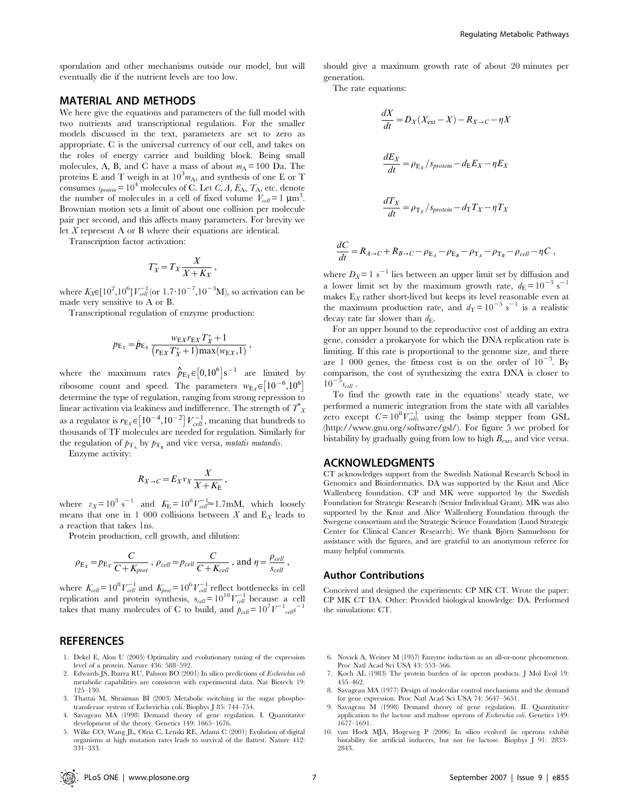sporulation and other mechanisms outside our model, but will eventually die if the nutrient levels are too low.

# MATERIAL AND METHODS

We here give the equations and parameters of the full model with two nutrients and transcriptional regulation. For the smaller models discussed in the text, parameters are set to zero as appropriate. C is the universal currency of our cell, and takes on the roles of energy carrier and building block. Being small molecules, A, B, and C have a mass of about  $m_A = 100$  Da. The proteins E and T weigh in at  $10^3 m_A$ , and synthesis of one E or T consumes  $s_{\text{protein}} = 10^4$  molecules of C. Let C, A,  $E_A$ ,  $T_A$ , etc. denote the number of molecules in a cell of fixed volume  $V_{cell} = 1 \text{ }\mu\text{m}^3$ . Brownian motion sets a limit of about one collision per molecule pair per second, and this affects many parameters. For brevity we let X represent A or B where their equations are identical.

Transcription factor activation:

$$
T_X^* = T_X \frac{X}{X + K_X},
$$

where  $K_{\text{X}} \in [10^2, 10^6] V_{cell}^{-1}$  (or  $1.7 \cdot 10^{-7}, 10^{-3} \text{M}$ ), so activation can be made very sensitive to A or B.

Transcriptional regulation of enzyme production:

$$
p_{\mathrm{E}_{X}} = \hat{p}_{\mathrm{E}_{X}} \frac{w_{\mathrm{E}_{X}} r_{\mathrm{E}_{X}} T_{X}^{*} + 1}{(r_{\mathrm{E}_{X}} T_{X}^{*} + 1) \max(w_{\mathrm{E}_{X},1})},
$$

where the maximum rates  $\hat{p}_{E_x} \in [0, 10^6] \text{ s}^{-1}$  are limited by ribosome count and speed. The parameters  $w_{E_x} \in [10^{-6}, 10^6]$ determine the type of regulation, ranging from strong repression to linear activation via leakiness and indifference. The strength of  $T^*_X$ as a regulator is  $r_{\text{E}_x} \in [10^{-4}, 10^{-2}] V_{cell}^{-1}$ , meaning that hundreds to thousands of TF molecules are needed for regulation. Similarly for the regulation of  $p_{\text{t}}$  by  $p_{\text{t}}$  and vice versa, *mutatis mutandis*.

Enzyme activity:

$$
R_{X\to C} = E_X v_X \frac{X}{X + K_{\rm E}}\,,
$$

where  $v_X = 10^3 \text{ s}^{-1}$  and  $K_E = 10^8 V_{cell}^{-1} \approx 1.7 \text{mM}$ , which loosely means that one in 1 000 collisions between  $X$  and  $E_X$  leads to a reaction that takes 1ns.

Protein production, cell growth, and dilution:

$$
\rho_{E_X} = p_{E_X} \frac{C}{C + K_{prot}}
$$
,  $\rho_{cell} = p_{cell} \frac{C}{C + K_{cell}}$ , and  $\eta = \frac{\rho_{cell}}{S_{cell}}$ ,

where  $K_{cell} = 10^8 V_{cell}^{-1}$  and  $K_{prot} = 10^6 V_{cell}^{-1}$  reflect bottlenecks in cell replication and protein synthesis,  $s_{cell} = 10^{10} V_{cell}^{-1}$  because a cell takes that many molecules of C to build, and  $p_{cell} = 10^7 V^{-1}$ <sub>cell</sub>s<sup>-1</sup>

## **REFERENCES**

- 1. Dekel E, Alon U (2005) Optimality and evolutionary tuning of the expression level of a protein. Nature 436: 588–592.
- 2. Edwards JS, Ibarra RU, Palsson BO (2001) In silico predictions of Escherichia coli metabolic capabilities are consistent with experimental data. Nat Biotech 19: 125–130.
- 3. Thattai M, Shraiman BI (2003) Metabolic switching in the sugar phosphotransferase system of Escherichia coli. Biophys J 85: 744–754.
- 4. Savageau MA (1998) Demand theory of gene regulation. I. Quantitative development of the theory. Genetics 149: 1665–1676.
- 5. Wilke CO, Wang JL, Ofria C, Lenski RE, Adami C (2001) Evolution of digital organisms at high mutation rates leads to survival of the flattest. Nature 412: 331–333.

should give a maximum growth rate of about 20 minutes per generation.

The rate equations:

 $\frac{dC}{dt}$ 

$$
\frac{dX}{dt} = D_X(X_{ext} - X) - R_{X \to C} - \eta X
$$

$$
\frac{dE_X}{dt} = \rho_{E_X}/s_{protein} - d_E E_X - \eta E_X
$$

$$
\frac{dT_X}{dt} = \rho_{T_X}/s_{protein} - d_T T_X - \eta T_X
$$

$$
\frac{dC}{dt} = R_{A \to C} + R_{B \to C} - \rho_{E_A} - \rho_{E_B} - \rho_{T_A} - \rho_{T_B} - \rho_{cell} - \eta C,
$$

where  $D_X=1$  s<sup>-1</sup> lies between an upper limit set by diffusion and a lower limit set by the maximum growth rate,  $d_E = 10^{-3} s^{-1}$ makes  $E_X$  rather short-lived but keeps its level reasonable even at the maximum production rate, and  $d_T = 10^{-5}$  s<sup>-1</sup> is a realistic decay rate far slower than  $d_{\text{E}}$ .

For an upper bound to the reproductive cost of adding an extra gene, consider a prokaryote for which the DNA replication rate is limiting. If this rate is proportional to the genome size, and there are  $1\,000$  genes, the fitness cost is on the order of  $10^{-3}$ . By comparison, the cost of synthesizing the extra DNA is closer to  $10^{-5}$ <sub>Scell</sub>.

To find the growth rate in the equations' steady state, we performed a numeric integration from the state with all variables zero except  $C = 10^8 V_{cell}^{-1}$  using the bsimp stepper from GSL (http://www.gnu.org/software/gsl/). For figure 5 we probed for bistability by gradually going from low to high  $B_{\text{ext}}$ , and vice versa.

## ACKNOWLEDGMENTS

CT acknowledges support from the Swedish National Research School in Genomics and Bioinformatics. DA was supported by the Knut and Alice Wallenberg foundation. CP and MK were supported by the Swedish Foundation for Strategic Research (Senior Individual Grant). MK was also supported by the Knut and Alice Wallenberg Foundation through the Swegene consortium and the Strategic Science Foundation (Lund Strategic Center for Clinical Cancer Research). We thank Björn Samuelsson for assistance with the figures, and are grateful to an anonymous referee for many helpful comments.

## Author Contributions

Conceived and designed the experiments: CP MK CT. Wrote the paper: CP MK CT DA. Other: Provided biological knowledge: DA. Performed the simulations: CT.

- Novick A, Weiner M (1957) Enzyme induction as an all-or-none phenomenon. Proc Natl Acad Sci USA 43: 553–566.
- 7. Koch AL (1983) The protein burden of lac operon products. J Mol Evol 19: 455–462.
- 8. Savageau MA (1977) Design of molecular control mechanisms and the demand for gene expression. Proc Natl Acad Sci USA 74: 5647–5651.
- 9. Savageau M (1998) Demand theory of gene regulation. II. Quantitative application to the lactose and maltose operons of Escherichia coli. Genetics 149: 1677–1691.
- 10. van Hoek MJA, Hogeweg P (2006) In silico evolved lac operons exhibit bistability for artificial inducers, but not for lactose. Biophys J 91: 2833– 2843.